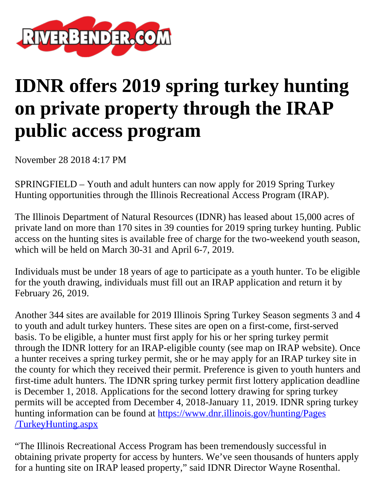

## **IDNR offers 2019 spring turkey hunting on private property through the IRAP public access program**

November 28 2018 4:17 PM

SPRINGFIELD – Youth and adult hunters can now apply for 2019 Spring Turkey Hunting opportunities through the Illinois Recreational Access Program (IRAP).

The Illinois Department of Natural Resources (IDNR) has leased about 15,000 acres of private land on more than 170 sites in 39 counties for 2019 spring turkey hunting. Public access on the hunting sites is available free of charge for the two-weekend youth season, which will be held on March 30-31 and April 6-7, 2019.

Individuals must be under 18 years of age to participate as a youth hunter. To be eligible for the youth drawing, individuals must fill out an IRAP application and return it by February 26, 2019.

Another 344 sites are available for 2019 Illinois Spring Turkey Season segments 3 and 4 to youth and adult turkey hunters. These sites are open on a first-come, first-served basis. To be eligible, a hunter must first apply for his or her spring turkey permit through the IDNR lottery for an IRAP-eligible county (see map on IRAP website). Once a hunter receives a spring turkey permit, she or he may apply for an IRAP turkey site in the county for which they received their permit. Preference is given to youth hunters and first-time adult hunters. The IDNR spring turkey permit first lottery application deadline is December 1, 2018. Applications for the second lottery drawing for spring turkey permits will be accepted from December 4, 2018-January 11, 2019. IDNR spring turkey hunting information can be found at [https://www.dnr.illinois.gov/hunting/Pages](https://www.dnr.illinois.gov/hunting/Pages/TurkeyHunting.aspx) [/TurkeyHunting.aspx](https://www.dnr.illinois.gov/hunting/Pages/TurkeyHunting.aspx)

"The Illinois Recreational Access Program has been tremendously successful in obtaining private property for access by hunters. We've seen thousands of hunters apply for a hunting site on IRAP leased property," said IDNR Director Wayne Rosenthal.